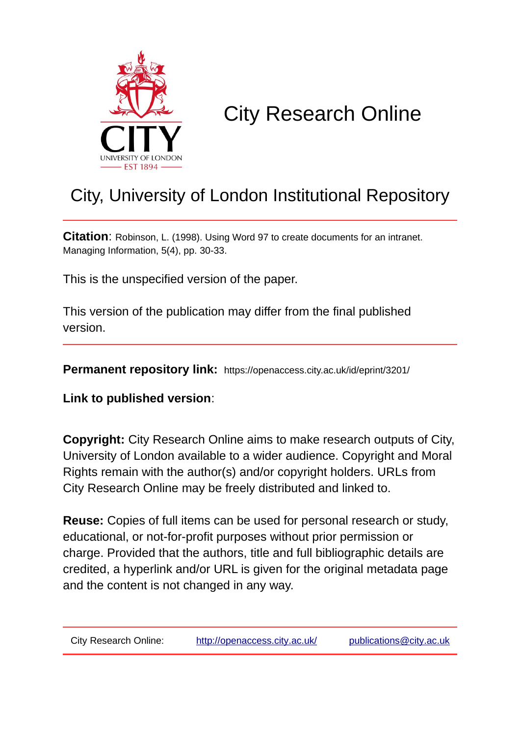

# City Research Online

# City, University of London Institutional Repository

**Citation**: Robinson, L. (1998). Using Word 97 to create documents for an intranet. Managing Information, 5(4), pp. 30-33.

This is the unspecified version of the paper.

This version of the publication may differ from the final published version.

**Permanent repository link:** https://openaccess.city.ac.uk/id/eprint/3201/

**Link to published version**:

**Copyright:** City Research Online aims to make research outputs of City, University of London available to a wider audience. Copyright and Moral Rights remain with the author(s) and/or copyright holders. URLs from City Research Online may be freely distributed and linked to.

**Reuse:** Copies of full items can be used for personal research or study, educational, or not-for-profit purposes without prior permission or charge. Provided that the authors, title and full bibliographic details are credited, a hyperlink and/or URL is given for the original metadata page and the content is not changed in any way.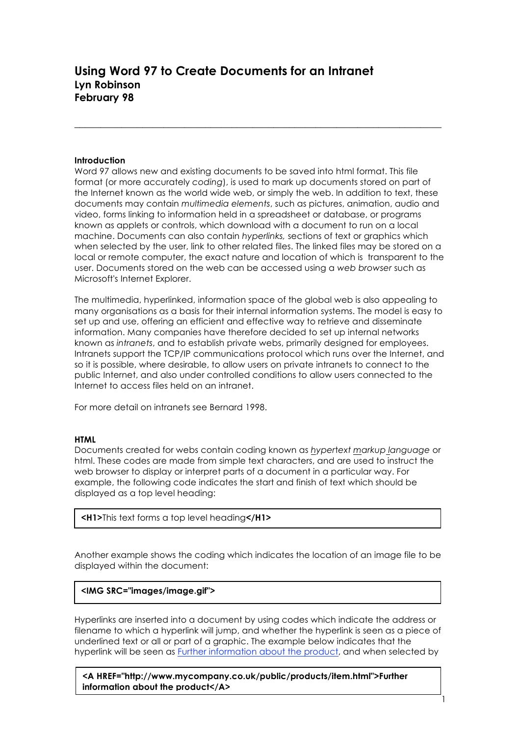#### **Introduction**

Word 97 allows new and existing documents to be saved into html format. This file format (or more accurately *coding*), is used to mark up documents stored on part of the Internet known as the world wide web, or simply the web. In addition to text, these documents may contain *multimedia elements*, such as pictures, animation, audio and video, forms linking to information held in a spreadsheet or database, or programs known as applets or controls, which download with a document to run on a local machine. Documents can also contain *hyperlinks,* sections of text or graphics which when selected by the user, link to other related files. The linked files may be stored on a local or remote computer, the exact nature and location of which is transparent to the user. Documents stored on the web can be accessed using a *web browser* such as Microsoft's Internet Explorer.

\_\_\_\_\_\_\_\_\_\_\_\_\_\_\_\_\_\_\_\_\_\_\_\_\_\_\_\_\_\_\_\_\_\_\_\_\_\_\_\_\_\_\_\_\_\_\_\_\_\_\_\_\_\_\_\_\_\_\_\_\_\_\_\_\_\_\_\_\_\_

The multimedia, hyperlinked, information space of the global web is also appealing to many organisations as a basis for their internal information systems. The model is easy to set up and use, offering an efficient and effective way to retrieve and disseminate information. Many companies have therefore decided to set up internal networks known as *intranets*, and to establish private webs, primarily designed for employees. Intranets support the TCP/IP communications protocol which runs over the Internet, and so it is possible, where desirable, to allow users on private intranets to connect to the public Internet, and also under controlled conditions to allow users connected to the Internet to access files held on an intranet.

For more detail on intranets see Bernard 1998.

#### **HTML**

Documents created for webs contain coding known as *hyper*t*ext markup language* or html. These codes are made from simple text characters, and are used to instruct the web browser to display or interpret parts of a document in a particular way. For example, the following code indicates the start and finish of text which should be displayed as a top level heading:

**<H1>**This text forms a top level heading**</H1>**

Another example shows the coding which indicates the location of an image file to be displayed within the document:

# **<IMG SRC="images/image.gif">**

Hyperlinks are inserted into a document by using codes which indicate the address or filename to which a hyperlink will jump, and whether the hyperlink is seen as a piece of underlined text or all or part of a graphic. The example below indicates that the hyperlink will be seen as Further information about the product, and when selected by

1

**<A HREF="http://www.mycompany.co.uk/public/products/item.html">Further information about the product</A>**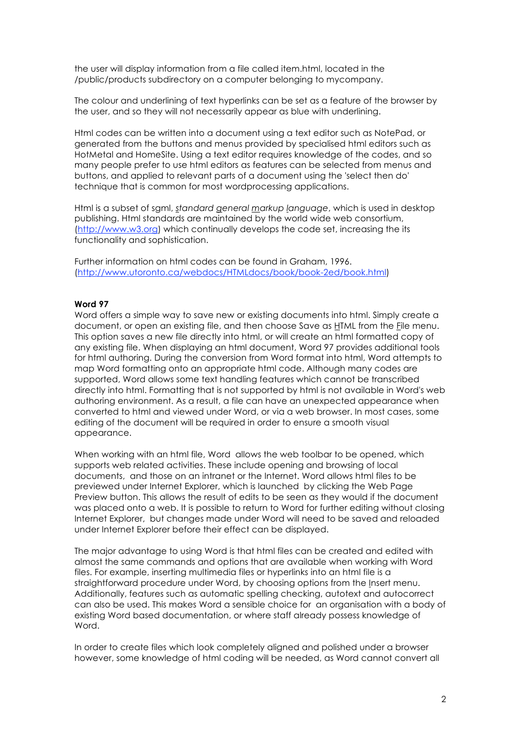the user will display information from a file called item.html, located in the /public/products subdirectory on a computer belonging to mycompany.

The colour and underlining of text hyperlinks can be set as a feature of the browser by the user, and so they will not necessarily appear as blue with underlining.

Html codes can be written into a document using a text editor such as NotePad, or generated from the buttons and menus provided by specialised html editors such as HotMetal and HomeSite. Using a text editor requires knowledge of the codes, and so many people prefer to use html editors as features can be selected from menus and buttons, and applied to relevant parts of a document using the 'select then do' technique that is common for most wordprocessing applications.

Html is a subset of sgml, *standard general markup language*, which is used in desktop publishing. Html standards are maintained by the world wide web consortium, (http://www.w3.org) which continually develops the code set, increasing the its functionality and sophistication.

Further information on html codes can be found in Graham, 1996. (http://www.utoronto.ca/webdocs/HTMLdocs/book/book-2ed/book.html)

# **Word 97**

Word offers a simple way to save new or existing documents into html. Simply create a document, or open an existing file, and then choose Save as HTML from the File menu. This option saves a new file directly into html, or will create an html formatted copy of any existing file. When displaying an html document, Word 97 provides additional tools for html authoring. During the conversion from Word format into html, Word attempts to map Word formatting onto an appropriate html code. Although many codes are supported, Word allows some text handling features which cannot be transcribed directly into html. Formatting that is not supported by html is not available in Word's web authoring environment. As a result, a file can have an unexpected appearance when converted to html and viewed under Word, or via a web browser. In most cases, some editing of the document will be required in order to ensure a smooth visual appearance.

When working with an html file, Word allows the web toolbar to be opened, which supports web related activities. These include opening and browsing of local documents, and those on an intranet or the Internet. Word allows html files to be previewed under Internet Explorer, which is launched by clicking the Web Page Preview button. This allows the result of edits to be seen as they would if the document was placed onto a web. It is possible to return to Word for further editing without closing Internet Explorer, but changes made under Word will need to be saved and reloaded under Internet Explorer before their effect can be displayed.

The major advantage to using Word is that html files can be created and edited with almost the same commands and options that are available when working with Word files. For example, inserting multimedia files or hyperlinks into an html file is a straightforward procedure under Word, by choosing options from the Insert menu. Additionally, features such as automatic spelling checking, autotext and autocorrect can also be used. This makes Word a sensible choice for an organisation with a body of existing Word based documentation, or where staff already possess knowledge of Word.

In order to create files which look completely aligned and polished under a browser however, some knowledge of html coding will be needed, as Word cannot convert all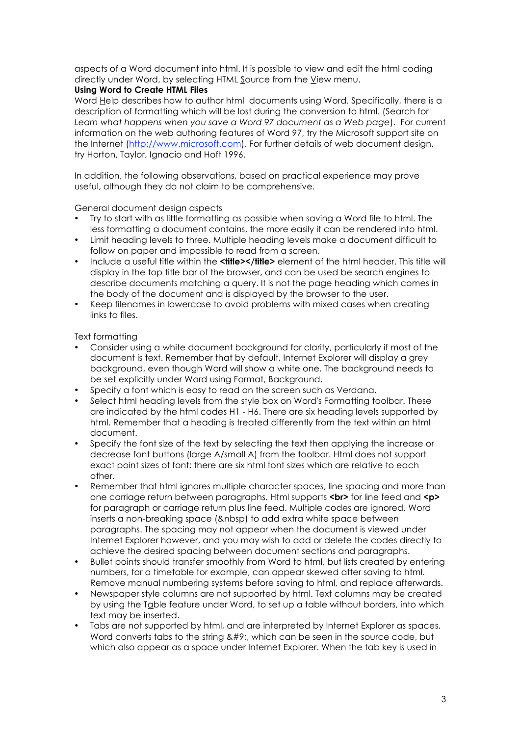aspects of a Word document into html. It is possible to view and edit the html coding directly under Word, by selecting HTML Source from the View menu.

# **Using Word to Create HTML Files**

Word Help describes how to author html documents using Word. Specifically, there is a description of formatting which will be lost during the conversion to html. (Search for *Learn what happens when you save a Word 97 document as a Web page*). For current information on the web authoring features of Word 97, try the Microsoft support site on the Internet (http://www.microsoft.com). For further details of web document design, try Horton, Taylor, Ignacio and Hoft 1996.

In addition, the following observations, based on practical experience may prove useful, although they do not claim to be comprehensive.

General document design aspects

- Try to start with as little formatting as possible when saving a Word file to html. The less formatting a document contains, the more easily it can be rendered into html.
- Limit heading levels to three. Multiple heading levels make a document difficult to follow on paper and impossible to read from a screen.
- Include a useful title within the **<title></title>** element of the html header. This title will display in the top title bar of the browser, and can be used be search engines to describe documents matching a query. It is not the page heading which comes in the body of the document and is displayed by the browser to the user.
- Keep filenames in lowercase to avoid problems with mixed cases when creating links to files.

# Text formatting

- Consider using a white document background for clarity, particularly if most of the document is text. Remember that by default, Internet Explorer will display a grey background, even though Word will show a white one. The background needs to be set explicitly under Word using Format, Background.
- Specify a font which is easy to read on the screen such as Verdana.
- Select html heading levels from the style box on Word's Formatting toolbar. These are indicated by the html codes H1 - H6. There are six heading levels supported by html. Remember that a heading is treated differently from the text within an html document.
- Specify the font size of the text by selecting the text then applying the increase or decrease font buttons (large A/small A) from the toolbar. Html does not support exact point sizes of font; there are six html font sizes which are relative to each other.
- Remember that html ignores multiple character spaces, line spacing and more than one carriage return between paragraphs. Html supports **<br>** for line feed and **<p>** for paragraph or carriage return plus line feed. Multiple codes are ignored. Word inserts a non-breaking space (&nbsp) to add extra white space between paragraphs. The spacing may not appear when the document is viewed under Internet Explorer however, and you may wish to add or delete the codes directly to achieve the desired spacing between document sections and paragraphs.
- Bullet points should transfer smoothly from Word to html, but lists created by entering numbers, for a timetable for example, can appear skewed after saving to html. Remove manual numbering systems before saving to html, and replace afterwards.
- Newspaper style columns are not supported by html. Text columns may be created by using the Table feature under Word, to set up a table without borders, into which text may be inserted.
- Tabs are not supported by html, and are interpreted by Internet Explorer as spaces. Word converts tabs to the string  $x#9$ ; which can be seen in the source code, but which also appear as a space under Internet Explorer. When the tab key is used in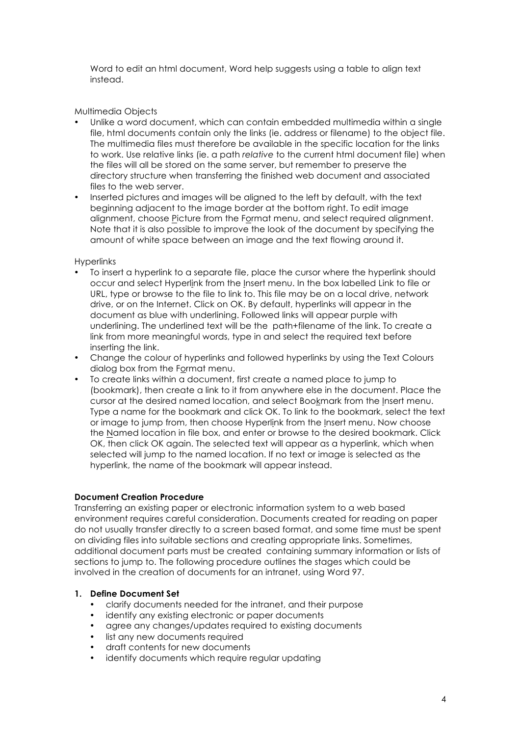Word to edit an html document, Word help suggests using a table to align text instead.

Multimedia Objects

- Unlike a word document, which can contain embedded multimedia within a single file, html documents contain only the links (ie. address or filename) to the object file. The multimedia files must therefore be available in the specific location for the links to work. Use relative links (ie. a path *relative* to the current html document file) when the files will all be stored on the same server, but remember to preserve the directory structure when transferring the finished web document and associated files to the web server.
- Inserted pictures and images will be aligned to the left by default, with the text beginning adjacent to the image border at the bottom right. To edit image alignment, choose Picture from the Format menu, and select required alignment. Note that it is also possible to improve the look of the document by specifying the amount of white space between an image and the text flowing around it.

# **Hyperlinks**

- To insert a hyperlink to a separate file, place the cursor where the hyperlink should occur and select Hyperlink from the Insert menu. In the box labelled Link to file or URL, type or browse to the file to link to. This file may be on a local drive, network drive, or on the Internet. Click on OK. By default, hyperlinks will appear in the document as blue with underlining. Followed links will appear purple with underlining. The underlined text will be the path+filename of the link. To create a link from more meaningful words, type in and select the required text before inserting the link.
- Change the colour of hyperlinks and followed hyperlinks by using the Text Colours dialog box from the Format menu.
- To create links within a document, first create a named place to jump to (bookmark), then create a link to it from anywhere else in the document. Place the cursor at the desired named location, and select Bookmark from the Insert menu. Type a name for the bookmark and click OK. To link to the bookmark, select the text or image to jump from, then choose Hyperlink from the Insert menu. Now choose the Named location in file box, and enter or browse to the desired bookmark. Click OK, then click OK again. The selected text will appear as a hyperlink, which when selected will jump to the named location. If no text or image is selected as the hyperlink, the name of the bookmark will appear instead.

# **Document Creation Procedure**

Transferring an existing paper or electronic information system to a web based environment requires careful consideration. Documents created for reading on paper do not usually transfer directly to a screen based format, and some time must be spent on dividing files into suitable sections and creating appropriate links. Sometimes, additional document parts must be created containing summary information or lists of sections to jump to. The following procedure outlines the stages which could be involved in the creation of documents for an intranet, using Word 97.

# **1. Define Document Set**

- clarify documents needed for the intranet, and their purpose
- identify any existing electronic or paper documents
- agree any changes/updates required to existing documents
- list any new documents required
- draft contents for new documents
- identify documents which require regular updating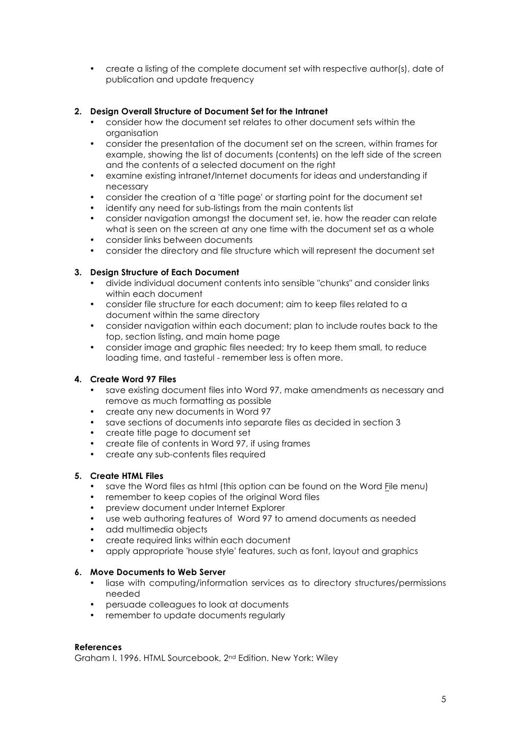• create a listing of the complete document set with respective author(s), date of publication and update frequency

# **2. Design Overall Structure of Document Set for the Intranet**

- consider how the document set relates to other document sets within the organisation
- consider the presentation of the document set on the screen, within frames for example, showing the list of documents (contents) on the left side of the screen and the contents of a selected document on the right
- examine existing intranet/Internet documents for ideas and understanding if necessary
- consider the creation of a 'title page' or starting point for the document set
- identify any need for sub-listings from the main contents list
- consider navigation amongst the document set, ie. how the reader can relate what is seen on the screen at any one time with the document set as a whole
- consider links between documents
- consider the directory and file structure which will represent the document set

# **3. Design Structure of Each Document**

- divide individual document contents into sensible "chunks" and consider links within each document
- consider file structure for each document; aim to keep files related to a document within the same directory
- consider navigation within each document; plan to include routes back to the top, section listing, and main home page
- consider image and graphic files needed; try to keep them small, to reduce loading time, and tasteful - remember less is often more.

# **4. Create Word 97 Files**

- save existing document files into Word 97, make amendments as necessary and remove as much formatting as possible
- create any new documents in Word 97
- save sections of documents into separate files as decided in section 3
- create title page to document set
- create file of contents in Word 97, if using frames
- create any sub-contents files required

# **5. Create HTML Files**

- save the Word files as html (this option can be found on the Word File menu)
- remember to keep copies of the original Word files
- preview document under Internet Explorer
- use web authoring features of Word 97 to amend documents as needed
- add multimedia objects
- create required links within each document
- apply appropriate 'house style' features, such as font, layout and graphics

# **6. Move Documents to Web Server**

- liase with computing/information services as to directory structures/permissions needed
- persuade colleagues to look at documents
- remember to update documents regularly

# **References**

Graham I. 1996. HTML Sourcebook, 2nd Edition. New York: Wiley